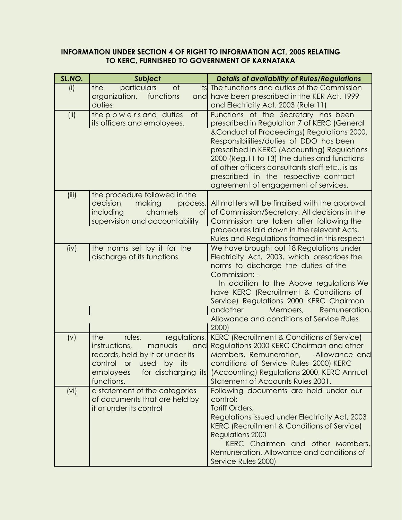#### **INFORMATION UNDER SECTION 4 OF RIGHT TO INFORMATION ACT, 2005 RELATING TO KERC, FURNISHED TO GOVERNMENT OF KARNATAKA**

| SL.NO.            | <b>Subject</b>                                                                                                                                                                                      | <b>Details of availability of Rules/Regulations</b>                                                                                                                                                                                                                                                                                                                                                             |
|-------------------|-----------------------------------------------------------------------------------------------------------------------------------------------------------------------------------------------------|-----------------------------------------------------------------------------------------------------------------------------------------------------------------------------------------------------------------------------------------------------------------------------------------------------------------------------------------------------------------------------------------------------------------|
| (i)               | particulars<br>of<br>the<br>its<br>organization,<br>functions<br>and<br>duties                                                                                                                      | The functions and duties of the Commission<br>have been prescribed in the KER Act, 1999<br>and Electricity Act. 2003 (Rule 11)                                                                                                                                                                                                                                                                                  |
| (ii)              | $\circ$ f<br>the powers and duties<br>its officers and employees.                                                                                                                                   | Functions of the Secretary has been<br>prescribed in Regulation 7 of KERC (General<br>& Conduct of Proceedings) Regulations 2000.<br>Responsibilities/duties of DDO has been<br>prescribed in KERC (Accounting) Regulations<br>2000 (Reg.11 to 13) The duties and functions<br>of other officers consultants staff etc., is as<br>prescribed in the respective contract<br>agreement of engagement of services. |
| (iii)             | the procedure followed in the<br>decision<br>making<br>process,<br>including<br>channels<br><b>of</b><br>supervision and accountability                                                             | All matters will be finalised with the approval<br>of Commission/Secretary. All decisions in the<br>Commission are taken after following the<br>procedures laid down in the relevant Acts,<br>Rules and Regulations framed in this respect                                                                                                                                                                      |
| (iv)              | the norms set by it for the<br>discharge of its functions                                                                                                                                           | We have brought out 18 Regulations under<br>Electricity Act, 2003, which prescribes the<br>norms to discharge the duties of the<br>Commission: -<br>In addition to the Above regulations We<br>have KERC (Recruitment & Conditions of<br>Service) Regulations 2000 KERC Chairman<br>andother<br>Members,<br>Remuneration,<br>Allowance and conditions of Service Rules<br>2000)                                 |
| (v)               | regulations,<br>the<br>rules,<br>instructions,<br>manuals<br>and<br>records, held by it or under its<br>control<br>its<br>used<br><b>or</b><br>by<br>for discharging its<br>employees<br>functions. | <b>KERC (Recruitment &amp; Conditions of Service)</b><br>Regulations 2000 KERC Chairman and other<br>Members, Remuneration,<br>Allowance and<br>conditions of Service Rules 2000) KERC<br>(Accounting) Regulations 2000, KERC Annual<br>Statement of Accounts Rules 2001.                                                                                                                                       |
| (v <sub>i</sub> ) | a statement of the categories<br>of documents that are held by<br>it or under its control                                                                                                           | Following documents are held under our<br>control:<br>Tariff Orders,<br>Regulations issued under Electricity Act, 2003<br>KERC (Recruitment & Conditions of Service)<br><b>Regulations 2000</b><br>KERC Chairman and other Members,<br>Remuneration, Allowance and conditions of<br>Service Rules 2000)                                                                                                         |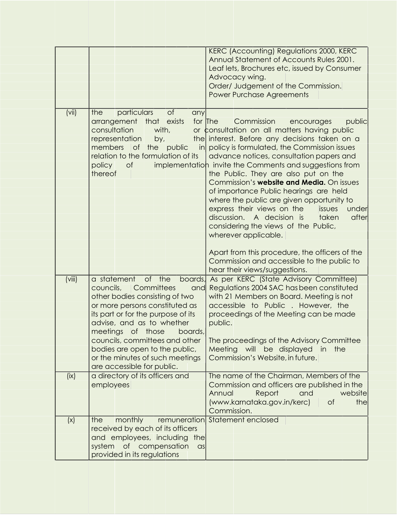|        |                                                                                                                                                                                                                                                                                                                                                                                   | KERC (Accounting) Regulations 2000, KERC<br>Annual Statement of Accounts Rules 2001.<br>Leaf lets, Brochures etc, issued by Consumer<br>Advocacy wing.<br>Order/ Judgement of the Commission.<br><b>Power Purchase Agreements</b>                                                                                                                                                                                                                                                                                                                                                                                                                                                                                                                       |
|--------|-----------------------------------------------------------------------------------------------------------------------------------------------------------------------------------------------------------------------------------------------------------------------------------------------------------------------------------------------------------------------------------|---------------------------------------------------------------------------------------------------------------------------------------------------------------------------------------------------------------------------------------------------------------------------------------------------------------------------------------------------------------------------------------------------------------------------------------------------------------------------------------------------------------------------------------------------------------------------------------------------------------------------------------------------------------------------------------------------------------------------------------------------------|
| (vii)  | of<br>particulars<br>the<br>any<br>arrangement that<br>exists<br>consultation<br>with,<br>representation<br>by,<br>members<br>the<br>$\mathsf{in}$<br><b>of</b><br>public<br>relation to the formulation of its<br>policy<br>of<br>thereof                                                                                                                                        | for The<br>Commission<br>encourages<br>public<br>or consultation on all matters having public<br>the interest. Before any decisions taken on a<br>policy is formulated, the Commission issues<br>advance notices, consultation papers and<br>implementation invite the Comments and suggestions from<br>the Public. They are also put on the<br>Commission's <b>website and Media.</b> On issues<br>of importance Public hearings are held<br>where the public are given opportunity to<br>express their views on the<br>issues<br>under<br>discussion. A decision is<br>taken<br>after<br>considering the views of the Public,<br>wherever applicable.<br>Apart from this procedure, the officers of the<br>Commission and accessible to the public to |
| (viii) | a statement<br>of the<br>boards,<br>councils,<br>Committees<br>and<br>other bodies consisting of two<br>or more persons constituted as<br>its part or for the purpose of its<br>advise, and as to whether<br>meetings<br>of those<br>boards,<br>councils, committees and other<br>bodies are open to the public,<br>or the minutes of such meetings<br>are accessible for public. | hear their views/suggestions.<br>As per KERC (State Advisory Committee)<br>Regulations 2004 SAC has been constituted<br>with 21 Members on Board. Meeting is not<br>accessible to Public . However, the<br>proceedings of the Meeting can be made<br>public.<br>The proceedings of the Advisory Committee<br>Meeting will be displayed in the<br>Commission's Website, in future.                                                                                                                                                                                                                                                                                                                                                                       |
| (ix)   | a directory of its officers and<br>employees                                                                                                                                                                                                                                                                                                                                      | The name of the Chairman, Members of the<br>Commission and officers are published in the<br>Annual<br>Report<br>website<br>and<br>(www.karnataka.gov.in/kerc)<br>of<br>the<br>Commission.                                                                                                                                                                                                                                                                                                                                                                                                                                                                                                                                                               |
| (x)    | monthly<br>the<br>remuneration<br>received by each of its officers<br>and employees, including<br>thel<br>system<br>of compensation<br>asl<br>provided in its regulations                                                                                                                                                                                                         | Statement enclosed                                                                                                                                                                                                                                                                                                                                                                                                                                                                                                                                                                                                                                                                                                                                      |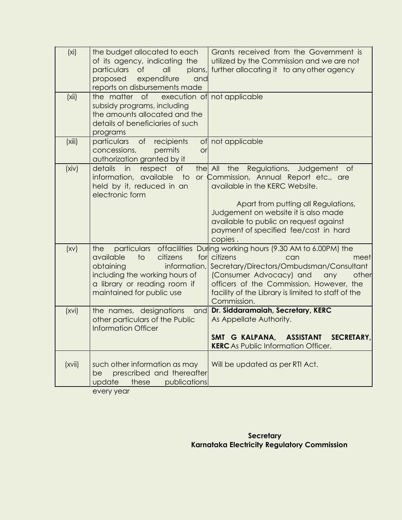| (x <sub>i</sub> ) | the budget allocated to each<br>of its agency, indicating the<br>particulars<br>$\circ$ f<br>all<br>plans,<br>expenditure<br>proposed<br>and<br>reports on disbursements made       | Grants received from the Government is<br>utilized by the Commission and we are not<br>further allocating it to any other agency                                                                                                                                                                             |
|-------------------|-------------------------------------------------------------------------------------------------------------------------------------------------------------------------------------|--------------------------------------------------------------------------------------------------------------------------------------------------------------------------------------------------------------------------------------------------------------------------------------------------------------|
| (xii)             | the matter of<br>execution of<br>subsidy programs, including<br>the amounts allocated and the<br>details of beneficiaries of such<br>programs                                       | not applicable                                                                                                                                                                                                                                                                                               |
| (xiii)            | of recipients<br>particulars<br>concessions,<br>permits<br>or<br>authorization granted by it                                                                                        | of not applicable                                                                                                                                                                                                                                                                                            |
| (xiv)             | details<br>respect<br>$\circ$ f<br>the All<br>in<br>information, available<br>$\overline{1}$<br>held by it, reduced in an<br>electronic form                                        | Regulations,<br>Judgement<br>the<br>Οf<br>or Commission, Annual Report etc., are<br>available in the KERC Website.<br>Apart from putting all Regulations,<br>Judgement on website it is also made<br>available to public on request against<br>payment of specified fee/cost in hard<br>copies.              |
| (xv)              | the<br>available<br>$\overline{\mathsf{1}}$<br>citizens<br>obtaining<br>information,<br>including the working hours of<br>a library or reading room if<br>maintained for public use | particulars offacilities During working hours (9.30 AM to 6.00PM) the<br>for citizens<br>can<br>meet<br>Secretary/Directors/Ombudsman/Consultant<br>(Consumer Advocacy) and<br>any<br>other<br>officers of the Commission. However, the<br>facility of the Library is limited to staff of the<br>Commission. |
| (xvi)             | the names, designations<br>and<br>other particulars of the Public<br><b>Information Officer</b>                                                                                     | Dr. Siddaramaiah, Secretary, KERC<br>As Appellate Authority.<br>SMT G KALPANA,<br><b>ASSISTANT</b><br><b>SECRETARY.</b><br><b>KERC</b> As Public Information Officer.                                                                                                                                        |
| (xvii)            | such other information as may<br>prescribed and thereafter<br>be<br>publications<br>update<br>these                                                                                 | Will be updated as per RTI Act.                                                                                                                                                                                                                                                                              |

every year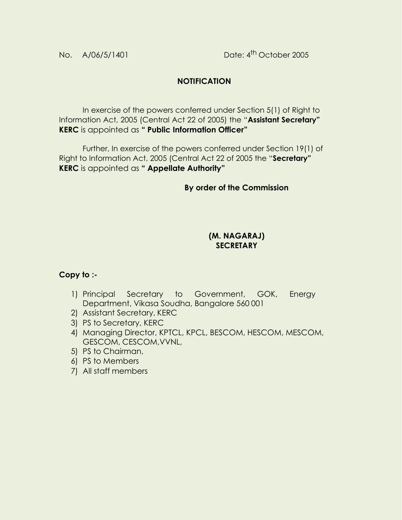# **NOTIFICATION**

In exercise of the powers conferred under Section 5(1) of Right to Information Act, 2005 (Central Act 22 of 2005) the "**Assistant Secretary" KERC** is appointed as **" Public Information Officer"**

Further, In exercise of the powers conferred under Section 19(1) of Right to Information Act, 2005 (Central Act 22 of 2005 the "**Secretary" KERC** is appointed as **" Appellate Authority"**

## **By order of the Commission**

#### **(M. NAGARAJ) SECRETARY**

## **Copy to :-**

- 1) Principal Secretary to Government, GOK, Energy Department, Vikasa Soudha, Bangalore 560 001
- 2) Assistant Secretary, KERC
- 3) PS to Secretary, KERC
- 4) Managing Director, KPTCL, KPCL, BESCOM, HESCOM, MESCOM, GESCOM, CESCOM,VVNL,
- 5) PS to Chairman,
- 6) PS to Members
- 7) All staff members